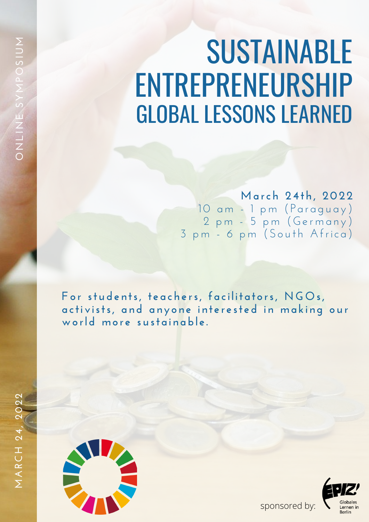## SUSTAINABLE ENTREPRENEURSHIP GLOBAL LESSONS LEARNED

**Ma rch 24th, 2022** 10 am - 1 pm (Paraguay) 2 pm - 5 pm (Germany) 3 pm - 6 pm (South Africa)

**Fo r stude n ts, t e a che rs, f a ci l it a t o rs, NGOs,** activists, and anyone interested in making our **wo rld mo r e sust a i n abl e .**